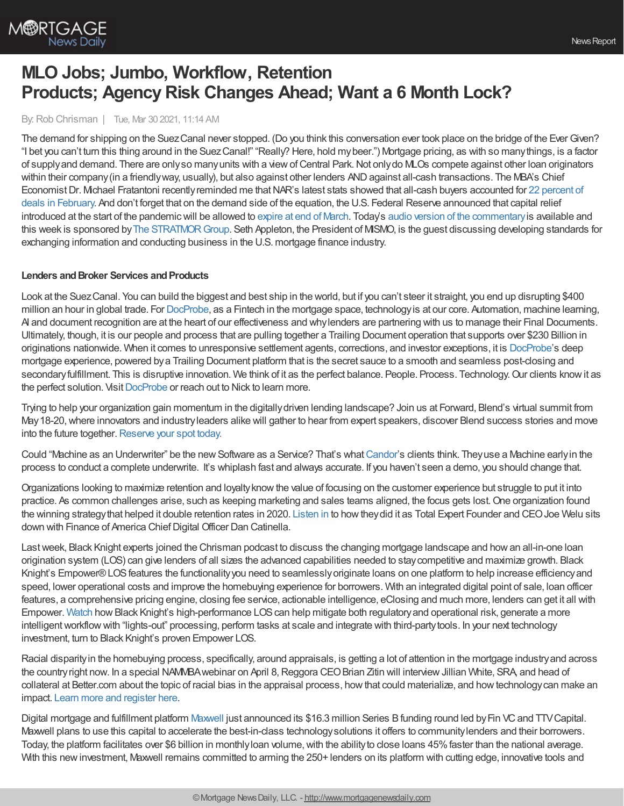

# **MLO Jobs; Jumbo, Workflow, Retention Products; Agency Risk Changes Ahead; Want a 6 Month Lock?**

By:Rob Chrisman | Tue, Mar 30 2021, 11:14 AM

The demand for shipping on the SuezCanal never stopped. (Do you think this conversation ever took place on the bridge of the EverGiven? "I bet you can't turn this thing around in the SuezCanal!" "Really? Here, hold mybeer.") Mortgage pricing, as with so manythings, is a factor of supply and demand. There are only so many units with a view of Central Park. Not only do MLOs compete against other loan originators within their company (in a friendly way, usually), but also against other lenders AND against all-cash transactions. The MBA's Chief Economist Dr. Michael Fratantoni recently reminded me that NAR's latest stats showed that all-cash buyers accounted for 22 percent of deals in February. And don't forget that on the demand side of the equation, the U.S. Federal Reserve announced that capital relief introduced at the start of the pandemic will be allowed to [expire](https://www.federalreserve.gov/newsevents/pressreleases/bcreg20210319b.htm) at end of March. Today's audio version of the [commentary](https://linktr.ee/dailymortgagenews) is available and this week is sponsored by The STRATMOR Group. Seth Appleton, the President of MISMO, is the guest discussing developing standards for exchanging information and conducting business in the U.S. mortgage finance industry.

#### **Lenders** and Broker Services and Products

Look at the Suez Canal. You can build the biggest and best ship in the world, but if you can't steer it straight, you end up disrupting \$400 million an hour in global trade. For [DocProbe,](https://bit.ly/3crGNE5) as a Fintech in the mortgage space, technologyis at our core. Automation, machine learning, AI and document recognition are at the heart of our effectiveness and whylenders are partnering with us to manage their Final Documents. Ultimately, though, it is our people and process that are pulling together a Trailing Document operation that supports over \$230 Billion in originations nationwide. When it comes to unresponsive settlement agents, corrections, and investor exceptions, it is [DocProbe'](https://bit.ly/3crGNE5)s deep mortgage experience, powered bya Trailing Document platform that is the secret sauce to a smooth and seamless post-closing and secondary fulfillment. This is disruptive innovation. We think of it as the perfect balance. People. Process. Technology. Our clients know it as the perfect solution. Visit [DocProbe](https://bit.ly/3crGNE5) or reach out to Nick to learn more.

Trying to help your organization gain momentum in the digitallydriven lending landscape? Join us at Forward, Blend's virtual summit from May18-20,where innovators and industryleaders alike will gather to hear from expert speakers, discover Blend success stories and move into the future together. [Reserve](https://forward.blend.com/?utm_source=chrisman&utm_medium=email&utm_campaign=forward-S21) your spot today.

Could "Machine as an Underwriter" be the new Software as a Service? That's what [Candor](http://www.candortechnology.com/chrisman-daily-0317)'s clients think. They use a Machine early in the process to conduct a complete underwrite. It's whiplash fast and always accurate. If you haven't seen a demo, you should change that.

Organizations looking to maximize retention and loyaltyknowthe value of focusing on the customer experience but struggle to put it into practice. As common challenges arise, such as keeping marketing and sales teams aligned, the focus gets lost.One organization found the winning strategythat helped it double retention rates in 2020. [Listen](https://totalexpert.com/delivering-roi-by-going-all-in-on-customer-experience/?utm_campaign=podcast&utm_source=chrisman&utm_medium=referral) in to howtheydid it as Total Expert Founder and CEOJoe Welu sits down with Finance of America Chief Digital Officer Dan Catinella.

Lastweek, Black Knight experts joined the Chrisman podcast to discuss the changing mortgage landscape and howan all-in-one loan origination system (LOS) can give lenders of all sizes the advanced capabilities needed to staycompetitive and maximize growth. Black Knight's Empower® LOS features the functionality you need to seamlessly originate loans on one platform to help increase efficiency and speed, lower operational costs and improve the homebuying experience for borrowers. With an integrated digital point of sale, loan officer features, a comprehensive pricing engine, closing fee service, actionable intelligence, eClosing and much more, lenders can get it all with Empower. [Watch](https://www.blackknightinc.com/markets-we-serve/mortgage/loan-origination-solutions/empower-loan-origination-system/a-best-in-class-los-for-all-sized-lenders/?utm_source=chrisman-newsletter&utm_medium=paid-referral&utm_campaign=OT_Empower_All%20Inclusive&utm_content=all-sized-lenders) how Black Knight's high-performance LOS can help mitigate both regulatory and operational risk, generate a more intelligentworkflowwith "lights-out" processing, perform tasks at scale and integrate with third-partytools. In your next technology investment, turn to Black Knight's proven Empower LOS.

Racial disparityin the homebuying process, specifically, around appraisals, is getting a lot of attention in the mortgage industryand across the country right now. In a special NAMMBA webinar on April 8, Reggora CEO Brian Zitin will interview Jillian White, SRA, and head of collateral at Better.com about the topic of racial bias in the appraisal process, howthat could materialize, and howtechnologycan make an impact. Learn more and [register](https://go.reggora.com/l/692273/2021-02-19/m27y8?utm_source=Chrisman&utm_medium=newsletter&utm_campaign=bias) here.

Digital mortgage and fulfillment platform [Maxwell](https://himaxwell.com/?utm_source=RC&utm_medium=RC_Content) just announced its \$16.3 million Series B funding round led by Fin VC and TTV Capital. Maxwell plans to use this capital to accelerate the best-in-class technologysolutions it offers to communitylenders and their borrowers. Today, the platform facilitates over \$6 billion in monthly loan volume, with the ability to close loans 45% faster than the national average. With this new investment, Maxwell remains committed to arming the 250+ lenders on its platform with cutting edge, innovative tools and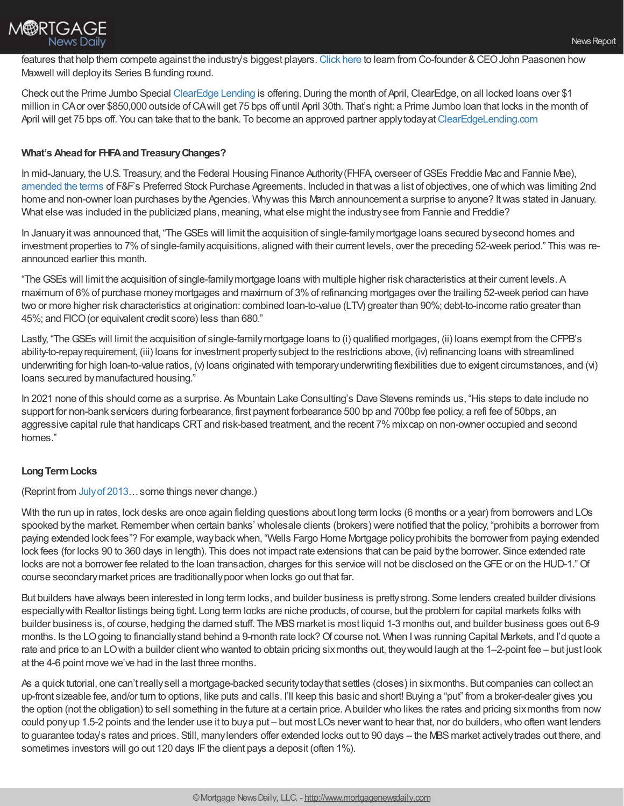

features that help them compete against the industry's biggest players. [Click](https://himaxwell.com/blog/maxwell-series-b/?utm_source=RC&utm_medium=RC_Content) here to learn from Co-founder & CEO John Paasonen how Maxwell will deployits Series Bfunding round.

Check out the Prime Jumbo Special [ClearEdge](https://clearedgelending.com/) Lending is offering. During the month of April, ClearEdge, on all locked loans over \$1 million in CAor over \$850,000 outside ofCAwill get 75 bps off until April 30th. That's right: a Prime Jumbo loan that locks in the month of April will get 75 bps off. You can take that to the bank. To become an approved partner apply today at [ClearEdgeLending.com](https://clearedgelending.com/)

## **What's Aheadfor FHFAandTreasuryChanges?**

In mid-January, the U.S. Treasury, and the Federal Housing Finance Authority(FHFA, overseer ofGSEs Freddie Mac and Fannie Mae), [amended](https://home.treasury.gov/news/press-releases/sm1236) the terms of F&F's Preferred Stock Purchase Agreements. Included in thatwas a list of objectives, one ofwhich was limiting 2nd home and non-owner loan purchases bythe Agencies. Whywas this March announcement a surprise to anyone? Itwas stated in January. What else was included in the publicized plans, meaning, what else might the industry see from Fannie and Freddie?

In January it was announced that, "The GSEs will limit the acquisition of single-family mortgage loans secured by second homes and investment properties to 7%of single-familyacquisitions, aligned with their current levels, over the preceding 52-week period." This was reannounced earlier this month.

"TheGSEs will limit the acquisition of single-familymortgage loans with multiple higher risk characteristics at their current levels. A maximum of 6%of purchase moneymortgages and maximum of 3%of refinancing mortgages over the trailing 52-week period can have two or more higher risk characteristics at origination: combined loan-to-value (LTV) greater than 90%; debt-to-income ratio greater than 45%; and FICO(or equivalent credit score) less than 680."

Lastly, "The GSEs will limit the acquisition of single-family mortgage loans to (i) qualified mortgages, (ii) loans exempt from the CFPB's ability-to-repayrequirement, (iii) loans for investment propertysubject to the restrictions above, (iv) refinancing loans with streamlined underwriting for high loan-to-value ratios, (v) loans originated with temporaryunderwriting flexibilities due to exigent circumstances, and (vi) loans secured bymanufactured housing."

In 2021 none of this should come as a surprise. As Mountain Lake Consulting's Dave Stevens reminds us, "His steps to date include no support for non-bank servicers during forbearance, first payment forbearance 500 bp and 700bp fee policy, a refi fee of 50bps, an aggressive capital rule that handicaps CRTand risk-based treatment, and the recent 7%mixcap on non-owner occupied and second homes."

#### **LongTermLocks**

(Reprint from [Julyof](https://www.robchrisman.com/july-8-mortgage-jobs-the-mbas-work-on-apor-and-margin-best-practices-new-lawsuits-the-return-of-long-terms-lock-talk/) 2013…some things never change.)

With the run up in rates, lock desks are once again fielding questions about long term locks (6 months or a year) from borrowers and LOs spooked by the market. Remember when certain banks' wholesale clients (brokers) were notified that the policy, "prohibits a borrower from paying extended lock fees"? For example,waybackwhen, "Wells Fargo Home Mortgage policyprohibits the borrower from paying extended lock fees (for locks 90 to 360 days in length). This does not impact rate extensions that can be paid bythe borrower. Since extended rate locks are not a borrower fee related to the loan transaction, charges for this service will not be disclosed on the GFE or on the HUD-1." Of course secondarymarket prices are traditionallypoor when locks go out that far.

But builders have always been interested in long term locks, and builder business is prettystrong. Some lenders created builder divisions especiallywith Realtor listings being tight. Long term locks are niche products, of course, but the problem for capital markets folks with builder business is, of course, hedging the darned stuff. The MBSmarket is most liquid 1-3 months out, and builder business goes out 6-9 months. Is the LOgoing to financially stand behind a 9-month rate lock? Of course not. When I was running Capital Markets, and I'd quote a rate and price to an LO with a builder client who wanted to obtain pricing six months out, they would laugh at the 1–2-point fee – but just look at the 4-6 point move we've had in the last three months.

As a quick tutorial, one can't reallysell a mortgage-backed securitytodaythat settles (closes) in sixmonths. But companies can collect an up-front sizeable fee, and/or turn to options, like puts and calls. I'll keep this basic and short! Buying a "put" from a broker-dealer gives you the option (not the obligation) to sell something in the future at a certain price. Abuilder who likes the rates and pricing sixmonths from now could ponyup 1.5-2 points and the lender use it to buya put – but most LOs never want to hear that, nor do builders,who often want lenders to guarantee today's rates and prices. Still, manylenders offer extended locks out to 90 days – the MBS market actively trades out there, and sometimes investors will go out 120 days IF the client pays a deposit (often 1%).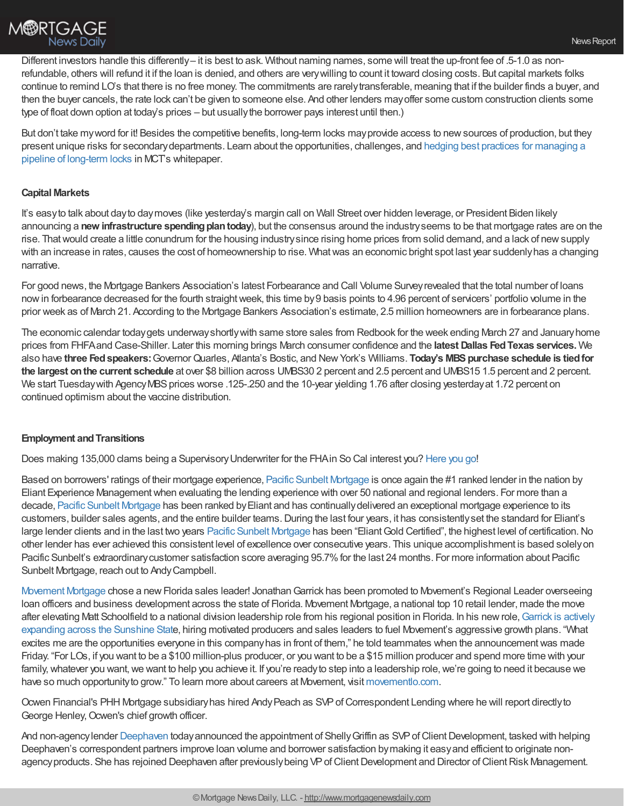

Different investors handle this differently– it is best to ask. Without naming names, some will treat the up-front fee of .5-1.0 as nonrefundable, others will refund it if the loan is denied, and others are verywilling to count it toward closing costs. But capital markets folks continue to remind LO's that there is no free money. The commitments are rarelytransferable, meaning that if the builder finds a buyer, and then the buyer cancels, the rate lock can't be given to someone else. And other lenders mayoffer some custom construction clients some type of float down option at today's prices – but usuallythe borrower pays interest until then.)

But don't take myword for it! Besides the competitive benefits, long-term locks mayprovide access to newsources of production, but they present unique risks for [secondarydepartments.](https://mct-trading.com/long-term-interest-rate-locks/) Learn about the opportunities, challenges, and hedging best practices for managing a pipeline of long-term locks in MCT's whitepaper.

### **Capital Markets**

It's easyto talk about dayto daymoves (like yesterday's margin call on Wall Street over hidden leverage, or President Biden likely announcing a **new infrastructure spending plan today**), but the consensus around the industry seems to be that mortgage rates are on the rise. Thatwould create a little conundrum for the housing industrysince rising home prices from solid demand, and a lack of newsupply with an increase in rates, causes the cost of homeownership to rise. What was an economic bright spot last year suddenly has a changing narrative.

For good news, the Mortgage Bankers Association's latest Forbearance and Call Volume Surveyrevealed that the total number of loans nowin forbearance decreased for the fourth straightweek, this time by9 basis points to 4.96 percent of servicers' portfolio volume in the prior week as of March 21. According to the Mortgage Bankers Association's estimate, 2.5 million homeowners are in forbearance plans.

The economic calendar todaygets underwayshortlywith same store sales from Redbook for the week ending March 27 and Januaryhome prices from FHFAand Case-Shiller. Later this morning brings March consumer confidence and the **latest Dallas FedTexas services.** We also have **three Fedspeakers:**GovernorQuarles, Atlanta's Bostic, and NewYork's Williams. **Today's MBSpurchase schedule is tiedfor the largest onthe current schedule** at over \$8 billion across UMBS30 2 percent and 2.5 percent and UMBS15 1.5 percent and 2 percent. We start Tuesday with Agency MBS prices worse .125-.250 and the 10-year yielding 1.76 after closing yesterday at 1.72 percent on continued optimism about the vaccine distribution.

#### **Employment and Transitions**

Does making 135,000 clams being a SupervisoryUnderwriter for the FHAin So Cal interest you? [Here](https://www.usajobs.gov/GetJob/PrintPreview/596391800?) you go!

Based on borrowers' ratings of their mortgage experience, Pacific Sunbelt [Mortgage](https://pacificsunbeltmortgage.com/) is once again the #1 ranked lender in the nation by Eliant Experience Managementwhen evaluating the lending experience with over 50 national and regional lenders. For more than a decade, Pacific Sunbelt [Mortgage](https://pacificsunbeltmortgage.com/) has been ranked byEliant and has continuallydelivered an exceptional mortgage experience to its customers, builder sales agents, and the entire builder teams. During the last four years, it has consistently set the standard for Eliant's large lender clients and in the last two years Pacific Sunbelt [Mortgage](https://pacificsunbeltmortgage.com/) has been "Eliant Gold Certified", the highest level of certification. No other lender has ever achieved this consistent level of excellence over consecutive years. This unique accomplishment is based solelyon Pacific Sunbelt's extraordinary customer satisfaction score averaging 95.7% for the last 24 months. For more information about Pacific Sunbelt Mortgage, reach out to AndyCampbell.

[Movement](https://movementlo.com/) Mortgage chose a new Florida sales leader! Jonathan Garrick has been promoted to Movement's Regional Leader overseeing loan officers and business development across the state of Florida. Movement Mortgage, a national top 10 retail lender, made the move after elevating Matt Schoolfield to a national division leadership role from his regional position in Florida. In his new role, Garrick is actively expanding across the Sunshine State, hiring motivated producers and sales leaders to fuel Movement's aggressive growth plans. "What excites me are the opportunities everyone in this companyhas in front of them," he told teammates when the announcementwas made Friday. "For LOs, if you want to be a \$100 million-plus producer, or you want to be a \$15 million producer and spend more time with your family, whatever you want, we want to help you achieve it. If you're ready to step into a leadership role, we're going to need it because we have so much opportunityto grow." To learn more about careers at Movement, visit [movementlo.com](https://movementlo.com/).

Ocwen Financial's PHH Mortgage subsidiary has hired Andy Peach as SVP of Correspondent Lending where he will report directly to George Henley, Ocwen's chief growth officer.

And non-agencylender [Deephaven](https://deephavenmortgage.com/) todayannounced the appointment of Shelly Griffin as SVP of Client Development, tasked with helping Deephaven's correspondent partners improve loan volume and borrower satisfaction bymaking it easyand efficient to originate nonagency products. She has rejoined Deephaven after previously being VP of Client Development and Director of Client Risk Management.